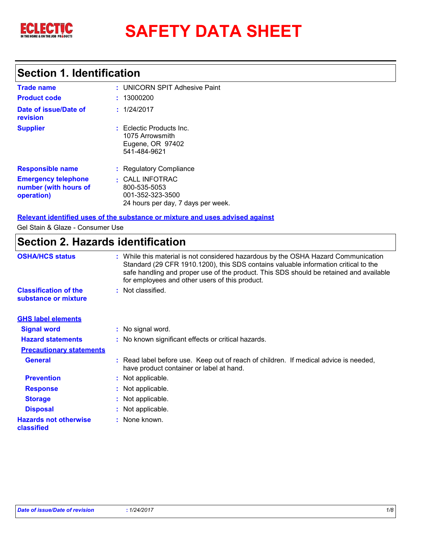

# **Section 1. Identification**

| <b>Trade name</b><br><b>Product code</b>                          | : UNICORN SPIT Adhesive Paint<br>: 13000200                                                 |
|-------------------------------------------------------------------|---------------------------------------------------------------------------------------------|
| Date of issue/Date of<br>revision                                 | : 1/24/2017                                                                                 |
| <b>Supplier</b>                                                   | $:$ Eclectic Products Inc.<br>1075 Arrowsmith<br>Eugene, OR 97402<br>541-484-9621           |
| <b>Responsible name</b>                                           | : Regulatory Compliance                                                                     |
| <b>Emergency telephone</b><br>number (with hours of<br>operation) | $:$ CALL INFOTRAC<br>800-535-5053<br>001-352-323-3500<br>24 hours per day, 7 days per week. |

**Relevant identified uses of the substance or mixture and uses advised against**

Gel Stain & Glaze - Consumer Use

# **Section 2. Hazards identification**

| <b>OSHA/HCS status</b>                               | : While this material is not considered hazardous by the OSHA Hazard Communication<br>Standard (29 CFR 1910.1200), this SDS contains valuable information critical to the<br>safe handling and proper use of the product. This SDS should be retained and available<br>for employees and other users of this product. |  |
|------------------------------------------------------|-----------------------------------------------------------------------------------------------------------------------------------------------------------------------------------------------------------------------------------------------------------------------------------------------------------------------|--|
| <b>Classification of the</b><br>substance or mixture | : Not classified.                                                                                                                                                                                                                                                                                                     |  |
| <b>GHS label elements</b>                            |                                                                                                                                                                                                                                                                                                                       |  |
| <b>Signal word</b>                                   | : No signal word.                                                                                                                                                                                                                                                                                                     |  |
| <b>Hazard statements</b>                             | : No known significant effects or critical hazards.                                                                                                                                                                                                                                                                   |  |
| <b>Precautionary statements</b>                      |                                                                                                                                                                                                                                                                                                                       |  |
| <b>General</b>                                       | : Read label before use. Keep out of reach of children. If medical advice is needed,<br>have product container or label at hand.                                                                                                                                                                                      |  |
| <b>Prevention</b>                                    | : Not applicable.                                                                                                                                                                                                                                                                                                     |  |
| <b>Response</b>                                      | : Not applicable.                                                                                                                                                                                                                                                                                                     |  |
| <b>Storage</b>                                       | : Not applicable.                                                                                                                                                                                                                                                                                                     |  |
| <b>Disposal</b>                                      | : Not applicable.                                                                                                                                                                                                                                                                                                     |  |
| <b>Hazards not otherwise</b><br>classified           | : None known.                                                                                                                                                                                                                                                                                                         |  |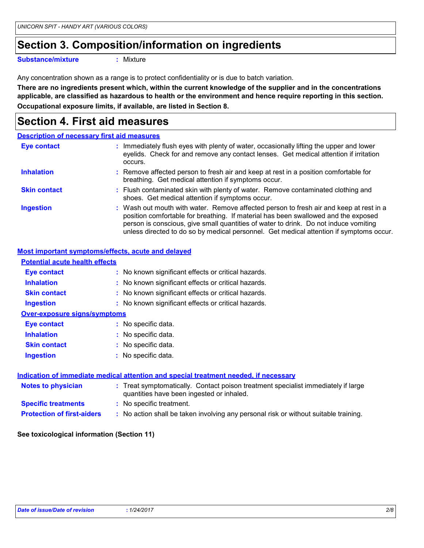# **Section 3. Composition/information on ingredients**

**Substance/mixture :**

Mixture

Any concentration shown as a range is to protect confidentiality or is due to batch variation.

**There are no ingredients present which, within the current knowledge of the supplier and in the concentrations applicable, are classified as hazardous to health or the environment and hence require reporting in this section. Occupational exposure limits, if available, are listed in Section 8.**

### **Section 4. First aid measures**

#### **Description of necessary first aid measures**

| Eye contact         | : Immediately flush eyes with plenty of water, occasionally lifting the upper and lower<br>eyelids. Check for and remove any contact lenses. Get medical attention if irritation<br>occurs.                                                                                                                                                                     |  |
|---------------------|-----------------------------------------------------------------------------------------------------------------------------------------------------------------------------------------------------------------------------------------------------------------------------------------------------------------------------------------------------------------|--|
| <b>Inhalation</b>   | : Remove affected person to fresh air and keep at rest in a position comfortable for<br>breathing. Get medical attention if symptoms occur.                                                                                                                                                                                                                     |  |
| <b>Skin contact</b> | : Flush contaminated skin with plenty of water. Remove contaminated clothing and<br>shoes. Get medical attention if symptoms occur.                                                                                                                                                                                                                             |  |
| <b>Ingestion</b>    | : Wash out mouth with water. Remove affected person to fresh air and keep at rest in a<br>position comfortable for breathing. If material has been swallowed and the exposed<br>person is conscious, give small quantities of water to drink. Do not induce vomiting<br>unless directed to do so by medical personnel. Get medical attention if symptoms occur. |  |

#### **Most important symptoms/effects, acute and delayed**

| <b>Potential acute health effects</b> |                                                                                                                                |
|---------------------------------------|--------------------------------------------------------------------------------------------------------------------------------|
| Eye contact                           | : No known significant effects or critical hazards.                                                                            |
| <b>Inhalation</b>                     | : No known significant effects or critical hazards.                                                                            |
| <b>Skin contact</b>                   | : No known significant effects or critical hazards.                                                                            |
| <b>Ingestion</b>                      | : No known significant effects or critical hazards.                                                                            |
| <b>Over-exposure signs/symptoms</b>   |                                                                                                                                |
| Eye contact                           | : No specific data.                                                                                                            |
| <b>Inhalation</b>                     | : No specific data.                                                                                                            |
| <b>Skin contact</b>                   | : No specific data.                                                                                                            |
| <b>Ingestion</b>                      | : No specific data.                                                                                                            |
|                                       |                                                                                                                                |
|                                       | <u>Indication of immediate medical attention and special treatment needed, if necessary</u>                                    |
| <b>Notes to physician</b>             | : Treat symptomatically. Contact poison treatment specialist immediately if large<br>quantities have been ingested or inhaled. |
| <b>Specific treatments</b>            | : No specific treatment.                                                                                                       |
| <b>Protection of first-aiders</b>     | : No action shall be taken involving any personal risk or without suitable training.                                           |
|                                       |                                                                                                                                |

#### **See toxicological information (Section 11)**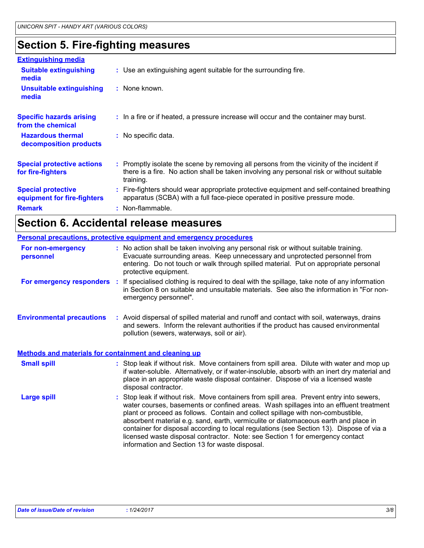### **Section 5. Fire-fighting measures**

| <b>Extinguishing media</b>                               |                                                                                                                                                                                                     |
|----------------------------------------------------------|-----------------------------------------------------------------------------------------------------------------------------------------------------------------------------------------------------|
| <b>Suitable extinguishing</b><br>media                   | : Use an extinguishing agent suitable for the surrounding fire.                                                                                                                                     |
| <b>Unsuitable extinguishing</b><br>media                 | $\therefore$ None known.                                                                                                                                                                            |
| <b>Specific hazards arising</b><br>from the chemical     | : In a fire or if heated, a pressure increase will occur and the container may burst.                                                                                                               |
| <b>Hazardous thermal</b><br>decomposition products       | : No specific data.                                                                                                                                                                                 |
| <b>Special protective actions</b><br>for fire-fighters   | : Promptly isolate the scene by removing all persons from the vicinity of the incident if<br>there is a fire. No action shall be taken involving any personal risk or without suitable<br>training. |
| <b>Special protective</b><br>equipment for fire-fighters | : Fire-fighters should wear appropriate protective equipment and self-contained breathing<br>apparatus (SCBA) with a full face-piece operated in positive pressure mode.                            |
| <b>Remark</b>                                            | : Non-flammable.                                                                                                                                                                                    |

# **Section 6. Accidental release measures**

|                                                              | <b>Personal precautions, protective equipment and emergency procedures</b>                                                                                                                                                                                                                                                                                                                                                                                                                                                                                                                 |
|--------------------------------------------------------------|--------------------------------------------------------------------------------------------------------------------------------------------------------------------------------------------------------------------------------------------------------------------------------------------------------------------------------------------------------------------------------------------------------------------------------------------------------------------------------------------------------------------------------------------------------------------------------------------|
| For non-emergency<br>personnel                               | : No action shall be taken involving any personal risk or without suitable training.<br>Evacuate surrounding areas. Keep unnecessary and unprotected personnel from<br>entering. Do not touch or walk through spilled material. Put on appropriate personal<br>protective equipment.                                                                                                                                                                                                                                                                                                       |
| For emergency responders                                     | : If specialised clothing is required to deal with the spillage, take note of any information<br>in Section 8 on suitable and unsuitable materials. See also the information in "For non-<br>emergency personnel".                                                                                                                                                                                                                                                                                                                                                                         |
| <b>Environmental precautions</b>                             | : Avoid dispersal of spilled material and runoff and contact with soil, waterways, drains<br>and sewers. Inform the relevant authorities if the product has caused environmental<br>pollution (sewers, waterways, soil or air).                                                                                                                                                                                                                                                                                                                                                            |
| <b>Methods and materials for containment and cleaning up</b> |                                                                                                                                                                                                                                                                                                                                                                                                                                                                                                                                                                                            |
| <b>Small spill</b>                                           | : Stop leak if without risk. Move containers from spill area. Dilute with water and mop up<br>if water-soluble. Alternatively, or if water-insoluble, absorb with an inert dry material and<br>place in an appropriate waste disposal container. Dispose of via a licensed waste<br>disposal contractor.                                                                                                                                                                                                                                                                                   |
| <b>Large spill</b>                                           | : Stop leak if without risk. Move containers from spill area. Prevent entry into sewers,<br>water courses, basements or confined areas. Wash spillages into an effluent treatment<br>plant or proceed as follows. Contain and collect spillage with non-combustible,<br>absorbent material e.g. sand, earth, vermiculite or diatomaceous earth and place in<br>container for disposal according to local regulations (see Section 13). Dispose of via a<br>licensed waste disposal contractor. Note: see Section 1 for emergency contact<br>information and Section 13 for waste disposal. |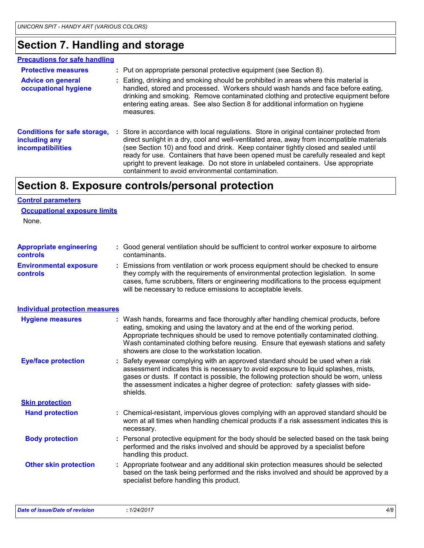### **Section 7. Handling and storage**

#### **Precautions for safe handling**

| <b>Protective measures</b>                                                       |    | : Put on appropriate personal protective equipment (see Section 8).                                                                                                                                                                                                                                                                                                                                                                                                                                         |
|----------------------------------------------------------------------------------|----|-------------------------------------------------------------------------------------------------------------------------------------------------------------------------------------------------------------------------------------------------------------------------------------------------------------------------------------------------------------------------------------------------------------------------------------------------------------------------------------------------------------|
| <b>Advice on general</b><br>occupational hygiene                                 |    | : Eating, drinking and smoking should be prohibited in areas where this material is<br>handled, stored and processed. Workers should wash hands and face before eating,<br>drinking and smoking. Remove contaminated clothing and protective equipment before<br>entering eating areas. See also Section 8 for additional information on hygiene<br>measures.                                                                                                                                               |
| <b>Conditions for safe storage,</b><br>including any<br><b>incompatibilities</b> | ÷. | Store in accordance with local regulations. Store in original container protected from<br>direct sunlight in a dry, cool and well-ventilated area, away from incompatible materials<br>(see Section 10) and food and drink. Keep container tightly closed and sealed until<br>ready for use. Containers that have been opened must be carefully resealed and kept<br>upright to prevent leakage. Do not store in unlabeled containers. Use appropriate<br>containment to avoid environmental contamination. |

### **Section 8. Exposure controls/personal protection**

#### None. **Hand protection** : Chemical-resistant, impervious gloves complying with an approved standard should be worn at all times when handling chemical products if a risk assessment indicates this is necessary. Safety eyewear complying with an approved standard should be used when a risk **:** assessment indicates this is necessary to avoid exposure to liquid splashes, mists, gases or dusts. If contact is possible, the following protection should be worn, unless the assessment indicates a higher degree of protection: safety glasses with sideshields. **Eye/face protection Body protection** : Personal protective equipment for the body should be selected based on the task being in the task being performed and the risks involved and should be approved by a specialist before handling this product. **Environmental exposure controls :** Emissions from ventilation or work process equipment should be checked to ensure they comply with the requirements of environmental protection legislation. In some cases, fume scrubbers, filters or engineering modifications to the process equipment will be necessary to reduce emissions to acceptable levels. **Appropriate engineering controls :** Good general ventilation should be sufficient to control worker exposure to airborne contaminants. Wash hands, forearms and face thoroughly after handling chemical products, before eating, smoking and using the lavatory and at the end of the working period. Appropriate techniques should be used to remove potentially contaminated clothing. Wash contaminated clothing before reusing. Ensure that eyewash stations and safety showers are close to the workstation location. **Hygiene measures : Control parameters Individual protection measures Occupational exposure limits Skin protection Other skin protection :** Appropriate footwear and any additional skin protection measures should be selected based on the task being performed and the risks involved and should be approved by a specialist before handling this product. *Date of issue/Date of revision* **:** *1/24/2017 4/8*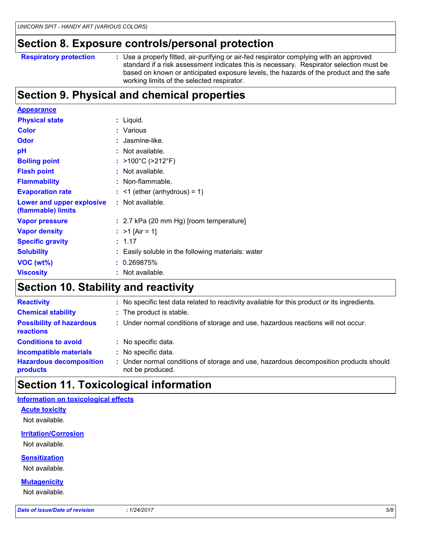### **Section 8. Exposure controls/personal protection**

```
Respiratory protection :
```
Use a properly fitted, air-purifying or air-fed respirator complying with an approved standard if a risk assessment indicates this is necessary. Respirator selection must be based on known or anticipated exposure levels, the hazards of the product and the safe working limits of the selected respirator.

# **Section 9. Physical and chemical properties**

| <b>Appearance</b>                               |                                                    |
|-------------------------------------------------|----------------------------------------------------|
| <b>Physical state</b>                           | $:$ Liquid.                                        |
| <b>Color</b>                                    | : Various                                          |
| <b>Odor</b>                                     | : Jasmine-like.                                    |
| pH                                              | : Not available.                                   |
| <b>Boiling point</b>                            | : $>100^{\circ}$ C ( $>212^{\circ}$ F)             |
| <b>Flash point</b>                              | $:$ Not available.                                 |
| <b>Flammability</b>                             | : Non-flammable.                                   |
| <b>Evaporation rate</b>                         | $:$ <1 (ether (anhydrous) = 1)                     |
| Lower and upper explosive<br>(flammable) limits | : Not available.                                   |
| <b>Vapor pressure</b>                           | : 2.7 kPa (20 mm Hg) [room temperature]            |
| <b>Vapor density</b>                            | : $>1$ [Air = 1]                                   |
| <b>Specific gravity</b>                         | : 1.17                                             |
| <b>Solubility</b>                               | : Easily soluble in the following materials: water |
| VOC (wt%)                                       | : 0.269875%                                        |
| <b>Viscosity</b>                                | : Not available.                                   |

### **Section 10. Stability and reactivity**

| <b>Reactivity</b>                            | : No specific test data related to reactivity available for this product or its ingredients.            |
|----------------------------------------------|---------------------------------------------------------------------------------------------------------|
| <b>Chemical stability</b>                    | : The product is stable.                                                                                |
| <b>Possibility of hazardous</b><br>reactions | : Under normal conditions of storage and use, hazardous reactions will not occur.                       |
| <b>Conditions to avoid</b>                   | : No specific data.                                                                                     |
| <b>Incompatible materials</b>                | : No specific data.                                                                                     |
| <b>Hazardous decomposition</b><br>products   | Under normal conditions of storage and use, hazardous decomposition products should<br>not be produced. |

# **Section 11. Toxicological information**

#### **Information on toxicological effects**

**Acute toxicity**

Not available.

**Irritation/Corrosion**

Not available.

**Sensitization**

Not available.

**Mutagenicity**

Not available.

*Date of issue/Date of revision* **:** *1/24/2017 5/8*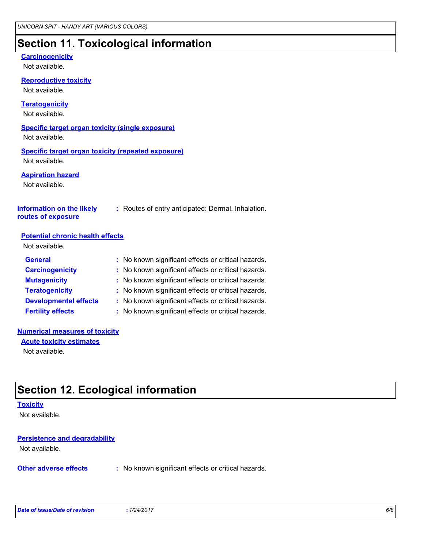# **Section 11. Toxicological information**

#### **Carcinogenicity**

Not available.

**Reproductive toxicity**

Not available.

#### **Teratogenicity**

Not available.

#### **Specific target organ toxicity (single exposure)** Not available.

#### **Specific target organ toxicity (repeated exposure)** Not available.

**Aspiration hazard**

Not available.

#### **Information on the likely routes of exposure**

**:** Routes of entry anticipated: Dermal, Inhalation.

#### **Potential chronic health effects**

Not available.

| <b>General</b>               | : No known significant effects or critical hazards. |
|------------------------------|-----------------------------------------------------|
| <b>Carcinogenicity</b>       | : No known significant effects or critical hazards. |
| <b>Mutagenicity</b>          | : No known significant effects or critical hazards. |
| <b>Teratogenicity</b>        | : No known significant effects or critical hazards. |
| <b>Developmental effects</b> | : No known significant effects or critical hazards. |
| <b>Fertility effects</b>     | : No known significant effects or critical hazards. |

#### **Numerical measures of toxicity**

Not available. **Acute toxicity estimates**

### **Section 12. Ecological information**

#### **Toxicity**

Not available.

### **Persistence and degradability**

Not available.

**Other adverse effects** : No known significant effects or critical hazards.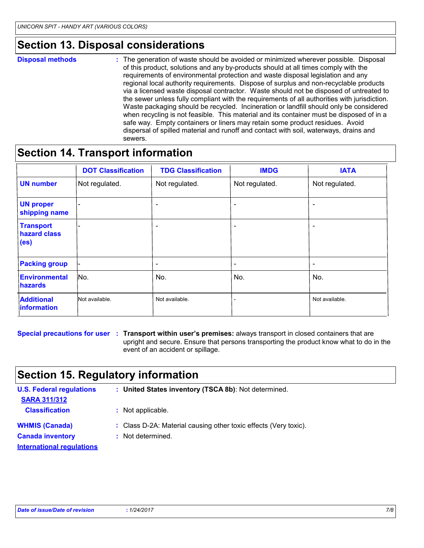### **Section 13. Disposal considerations**

- **Disposal methods :**
- The generation of waste should be avoided or minimized wherever possible. Disposal of this product, solutions and any by-products should at all times comply with the requirements of environmental protection and waste disposal legislation and any regional local authority requirements. Dispose of surplus and non-recyclable products via a licensed waste disposal contractor. Waste should not be disposed of untreated to the sewer unless fully compliant with the requirements of all authorities with jurisdiction. Waste packaging should be recycled. Incineration or landfill should only be considered when recycling is not feasible. This material and its container must be disposed of in a safe way. Empty containers or liners may retain some product residues. Avoid dispersal of spilled material and runoff and contact with soil, waterways, drains and sewers.

### **Section 14. Transport information**

|                                                       | <b>DOT Classification</b> | <b>TDG Classification</b> | <b>IMDG</b>              | <b>IATA</b>              |
|-------------------------------------------------------|---------------------------|---------------------------|--------------------------|--------------------------|
| <b>UN number</b>                                      | Not regulated.            | Not regulated.            | Not regulated.           | Not regulated.           |
| <b>UN proper</b><br>shipping name                     |                           | $\overline{\phantom{0}}$  | $\overline{\phantom{a}}$ |                          |
| <b>Transport</b><br>hazard class<br>(e <sub>s</sub> ) | ۰                         | $\overline{\phantom{a}}$  | $\overline{\phantom{a}}$ |                          |
| <b>Packing group</b>                                  |                           | $\overline{\phantom{0}}$  | $\overline{\phantom{a}}$ | $\overline{\phantom{0}}$ |
| Environmental<br><b>hazards</b>                       | No.                       | No.                       | No.                      | No.                      |
| <b>Additional</b><br><i><b>Information</b></i>        | Not available.            | Not available.            |                          | Not available.           |

**Special precautions for user** : Transport within user's premises: always transport in closed containers that are upright and secure. Ensure that persons transporting the product know what to do in the event of an accident or spillage.

# **Section 15. Regulatory information**

| <b>U.S. Federal regulations</b><br><b>SARA 311/312</b> | : United States inventory (TSCA 8b): Not determined.             |
|--------------------------------------------------------|------------------------------------------------------------------|
| <b>Classification</b>                                  | : Not applicable.                                                |
| <b>WHMIS (Canada)</b>                                  | : Class D-2A: Material causing other toxic effects (Very toxic). |
| <b>Canada inventory</b>                                | : Not determined.                                                |
| <b>International requlations</b>                       |                                                                  |